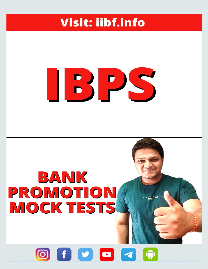### **Visit: iibf.info**

# BIPIS

## BANK PROMOTION **MOCK TESTS**

#### $|$   $\bullet$   $|$   $\bullet$   $|$   $\bullet$ **0**  $\mathbf{f}$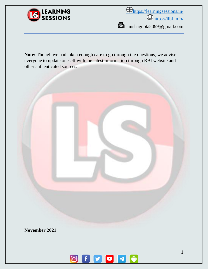

*<u>O<https://learningsessions.in/></u>*  $\bigoplus_{\text{https://iibf.info/}}$  $\bigoplus_{\text{https://iibf.info/}}$  $\bigoplus_{\text{https://iibf.info/}}$ banishagupta2099@gmail.com

**Note:** Though we had taken enough care to go through the questions, we advise everyone to update oneself with the latest information through RBI website and other authenticated sources**.**



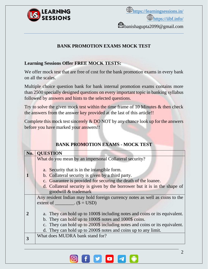

*<u>O<https://learningsessions.in/></u>*  $\bigoplus_{\text{https://iibf.info/}}$  $\bigoplus_{\text{https://iibf.info/}}$  $\bigoplus_{\text{https://iibf.info/}}$ banishagupta2099@gmail.com

#### **BANK PROMOTION EXAMS MOCK TEST**

#### **Learning Sessions Offer FREE MOCK TESTS:**

We offer mock test that are free of cost for the bank promotion exams in every bank on all the scales.

Multiple choice question bank for bank internal promotion exams contains more than 2500 specially designed questions on every important topic in banking syllabus followed by answers and hints to the selected questions.

Try to solve the given mock test within the time frame of 10 Minutes  $\&$  then check the answers from the answer key provided at the last of this article!!

Complete this mock test sincerely  $&$  DO NOT by any chance look up for the answers before you have marked your answers!!

| No.   QUESTION                                                              |
|-----------------------------------------------------------------------------|
| What do you mean by an impersonal Collateral security?                      |
|                                                                             |
| a. Security that is in the intangible form.                                 |
| b. Collateral security is given by a third party.                           |
| c. Guarantee is provided for securing the death of the loanee.              |
| d. Collateral security is given by the borrower but it is in the shape of   |
| goodwill & trademark                                                        |
| Any resident Indian may hold foreign currency notes as well as coins to the |
| extent of _________. $(\$ = USD)$                                           |
|                                                                             |
| a. They can hold up to 1000\$ including notes and coins or its equivalent.  |
| b. They can hold up to 1000\$ notes and 1000\$ coins.                       |
| c. They can hold up to 2000\$ including notes and coins or its equivalent.  |
| d. They can hold up to 2000\$ notes and coins up to any limit.              |
| What does MUDRA bank stand for?                                             |
|                                                                             |

#### **BANK PROMOTION EXAMS - MOCK TEST**

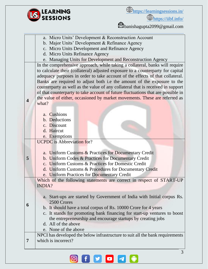

<https://iibf.info/>

banishagupta2099@gmail.com

|   | a. Micro Units' Development & Reconstruction Account                             |  |  |  |  |  |
|---|----------------------------------------------------------------------------------|--|--|--|--|--|
|   | b. Major Units' Development & Refinance Agency                                   |  |  |  |  |  |
|   | c. Micro Units Development and Refinance Agency                                  |  |  |  |  |  |
|   | d. Micro Units Refinance Agency                                                  |  |  |  |  |  |
|   | e. Managing Units for Development and Reconstruction Agency                      |  |  |  |  |  |
|   | In the comprehensive approach, while taking a collateral, banks will require     |  |  |  |  |  |
|   | to calculate their (collateral) adjusted exposure to a counterparty for capital  |  |  |  |  |  |
|   | adequacy purposes in order to take account of the effects of that collateral.    |  |  |  |  |  |
|   | Banks are required to adjust both i.e the amount of the exposure to the          |  |  |  |  |  |
|   | counterparty as well as the value of any collateral that is received in support  |  |  |  |  |  |
|   | of that counterparty to take account of future fluctuations that are possible in |  |  |  |  |  |
|   | the value of either, occasioned by market movements. These are referred as       |  |  |  |  |  |
| 4 | what?                                                                            |  |  |  |  |  |
|   |                                                                                  |  |  |  |  |  |
|   | a. Cushions                                                                      |  |  |  |  |  |
|   | b. Deductions                                                                    |  |  |  |  |  |
|   | c. Discount                                                                      |  |  |  |  |  |
|   | d. Haircut                                                                       |  |  |  |  |  |
|   | e. Exemptions                                                                    |  |  |  |  |  |
|   | <b>UCPDC</b> is Abbreviation for?                                                |  |  |  |  |  |
|   |                                                                                  |  |  |  |  |  |
|   | a. Uniform Customs & Practices for Documentary Credit                            |  |  |  |  |  |
| 5 | b. Uniform Codes & Practices for Documentary Credit                              |  |  |  |  |  |
|   | c. Uniform Customs & Practices for Domestic Credit                               |  |  |  |  |  |
|   | d. Uniform Customs & Procedures for Documentary Credit                           |  |  |  |  |  |
|   | e. Uniform Practices for Documentary Credit                                      |  |  |  |  |  |
|   | Which of the following statements are correct in respect of START-UP             |  |  |  |  |  |
|   | <b>INDIA?</b>                                                                    |  |  |  |  |  |
|   |                                                                                  |  |  |  |  |  |
|   | a. Start-ups are started by Government of India with Initial corpus Rs.          |  |  |  |  |  |
| 6 | 2500 Crores                                                                      |  |  |  |  |  |
|   | b. It should have a total corpus of Rs. 10000 Crore for 4 years                  |  |  |  |  |  |
|   | c. It stands for promoting bank financing for start-up ventures to boost         |  |  |  |  |  |
|   | the entrepreneurship and encourage startups by creating jobs                     |  |  |  |  |  |
|   | d. All of the above                                                              |  |  |  |  |  |
|   | e. None of the above                                                             |  |  |  |  |  |
|   | NPCI has developed the below infrastructure to suit all the bank requirements    |  |  |  |  |  |
| 7 | which is incorrect?                                                              |  |  |  |  |  |
|   |                                                                                  |  |  |  |  |  |

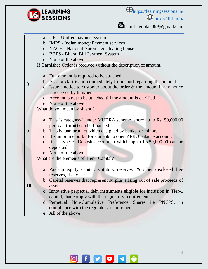

<https://iibf.info/>

banishagupta2099@gmail.com

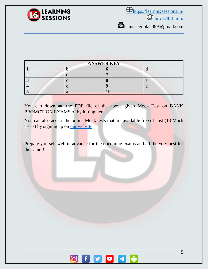

| <b>ANSWER KEY</b> |  |  |  |  |  |
|-------------------|--|--|--|--|--|
|                   |  |  |  |  |  |
|                   |  |  |  |  |  |
|                   |  |  |  |  |  |
|                   |  |  |  |  |  |
|                   |  |  |  |  |  |

You can download the PDF file of the above given Mock Test on BANK PROMOTION EXAMS of by hitting here.

You can also access the online Mock tests that are available free of cost (13 Mock) Tests) by signing up on [our website.](http://promotions.learningsessions.in/)

Prepare yourself well in advance for the upcoming exams and all the very best for the same!!

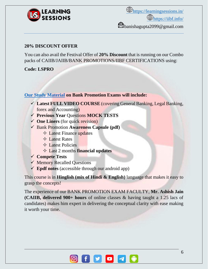

banishagupta2099@gmail.com

#### **20% DISCOUNT OFFER**

You can also avail the Festival Offer of **20% Discount** that is running on our Combo packs of CAIIB/JAIIB/BANK PROMOTIONS/IIBF CERTIFICATIONS using:

#### **Code: LSPRO**

#### **[Our Study Material](http://promotions.learningsessions.in/) on Bank Promotion Exams will include:**

- ✓ **Latest FULL VIDEO COURSE** (covering General Banking, Legal Banking, forex and Accounting)
- ✓ **Previous Year** Questions **MOCK TESTS**
- ✓ **One Liners** (for quick revision)
- ✓ Bank Promotion **Awareness Capsule (pdf)**
	- $\Diamond$  Latest Finance updates
	- $\triangle$  Latest Rates
	- $\triangle$  Latest Policies
	- Last 2 months **financial updates**
- ✓ **Compete Tests**
- ✓ Memory Recalled Questions
- ✓ **Epdf notes** (accessible through our android app)

This course is in **Hinglish (mix of Hindi & English)** language that makes it easy to grasp the concepts!

The experience of our BANK PROMOTION EXAM FACULTY, **Mr. Ashish Jain (CAIIB, delivered 900+ hours** of online classes & having taught a 1.25 lacs of candidates) makes him expert in delivering the conceptual clarity with ease making it worth your time.